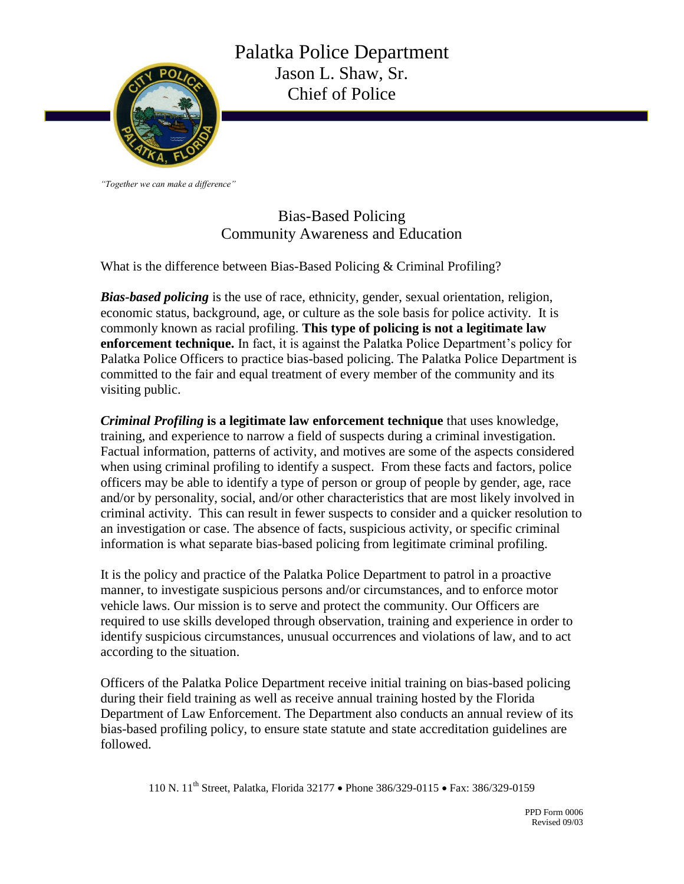

*"Together we can make a difference"*

Bias-Based Policing Community Awareness and Education

What is the difference between Bias-Based Policing & Criminal Profiling?

*Bias-based policing* is the use of race, ethnicity, gender, sexual orientation, religion, economic status, background, age, or culture as the sole basis for police activity. It is commonly known as racial profiling. **This type of policing is not a legitimate law enforcement technique.** In fact, it is against the Palatka Police Department's policy for Palatka Police Officers to practice bias-based policing. The Palatka Police Department is committed to the fair and equal treatment of every member of the community and its visiting public.

*Criminal Profiling* **is a legitimate law enforcement technique** that uses knowledge, training, and experience to narrow a field of suspects during a criminal investigation. Factual information, patterns of activity, and motives are some of the aspects considered when using criminal profiling to identify a suspect. From these facts and factors, police officers may be able to identify a type of person or group of people by gender, age, race and/or by personality, social, and/or other characteristics that are most likely involved in criminal activity. This can result in fewer suspects to consider and a quicker resolution to an investigation or case. The absence of facts, suspicious activity, or specific criminal information is what separate bias-based policing from legitimate criminal profiling.

It is the policy and practice of the Palatka Police Department to patrol in a proactive manner, to investigate suspicious persons and/or circumstances, and to enforce motor vehicle laws. Our mission is to serve and protect the community. Our Officers are required to use skills developed through observation, training and experience in order to identify suspicious circumstances, unusual occurrences and violations of law, and to act according to the situation.

Officers of the Palatka Police Department receive initial training on bias-based policing during their field training as well as receive annual training hosted by the Florida Department of Law Enforcement. The Department also conducts an annual review of its bias-based profiling policy, to ensure state statute and state accreditation guidelines are followed.

110 N. 11<sup>th</sup> Street, Palatka, Florida 32177 • Phone 386/329-0115 • Fax: 386/329-0159